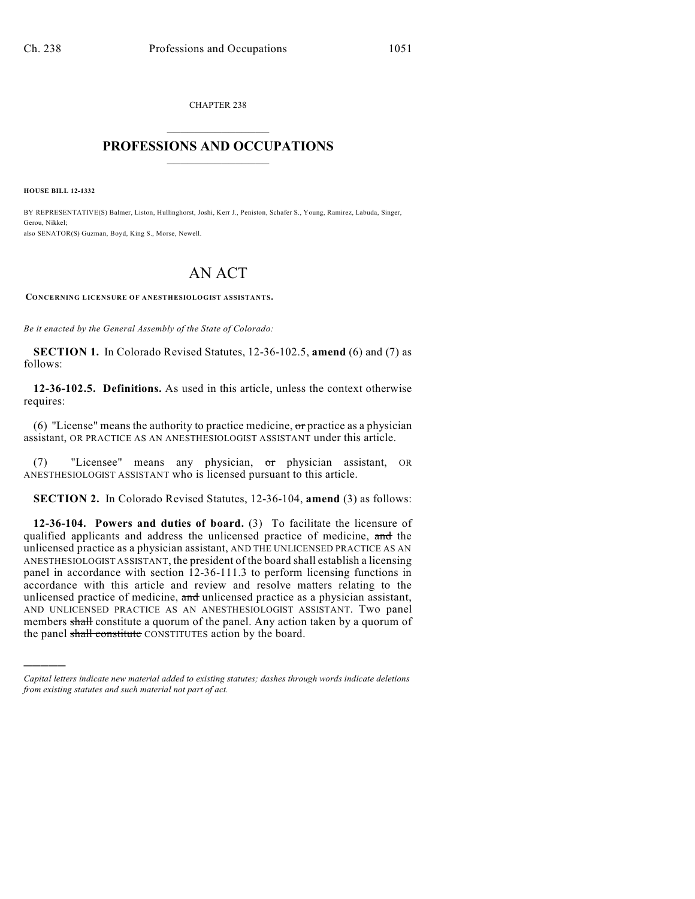CHAPTER 238  $\overline{\phantom{a}}$  . The set of the set of the set of the set of the set of the set of the set of the set of the set of the set of the set of the set of the set of the set of the set of the set of the set of the set of the set o

## **PROFESSIONS AND OCCUPATIONS**  $\frac{1}{2}$  ,  $\frac{1}{2}$  ,  $\frac{1}{2}$  ,  $\frac{1}{2}$  ,  $\frac{1}{2}$  ,  $\frac{1}{2}$

**HOUSE BILL 12-1332**

)))))

BY REPRESENTATIVE(S) Balmer, Liston, Hullinghorst, Joshi, Kerr J., Peniston, Schafer S., Young, Ramirez, Labuda, Singer, Gerou, Nikkel; also SENATOR(S) Guzman, Boyd, King S., Morse, Newell.

## AN ACT

**CONCERNING LICENSURE OF ANESTHESIOLOGIST ASSISTANTS.**

*Be it enacted by the General Assembly of the State of Colorado:*

**SECTION 1.** In Colorado Revised Statutes, 12-36-102.5, **amend** (6) and (7) as follows:

**12-36-102.5. Definitions.** As used in this article, unless the context otherwise requires:

(6) "License" means the authority to practice medicine,  $\sigma$ r practice as a physician assistant, OR PRACTICE AS AN ANESTHESIOLOGIST ASSISTANT under this article.

(7) "Licensee" means any physician, or physician assistant, OR ANESTHESIOLOGIST ASSISTANT who is licensed pursuant to this article.

**SECTION 2.** In Colorado Revised Statutes, 12-36-104, **amend** (3) as follows:

**12-36-104. Powers and duties of board.** (3) To facilitate the licensure of qualified applicants and address the unlicensed practice of medicine, and the unlicensed practice as a physician assistant, AND THE UNLICENSED PRACTICE AS AN ANESTHESIOLOGIST ASSISTANT, the president of the board shall establish a licensing panel in accordance with section 12-36-111.3 to perform licensing functions in accordance with this article and review and resolve matters relating to the unlicensed practice of medicine, and unlicensed practice as a physician assistant, AND UNLICENSED PRACTICE AS AN ANESTHESIOLOGIST ASSISTANT. Two panel members shall constitute a quorum of the panel. Any action taken by a quorum of the panel shall constitute CONSTITUTES action by the board.

*Capital letters indicate new material added to existing statutes; dashes through words indicate deletions from existing statutes and such material not part of act.*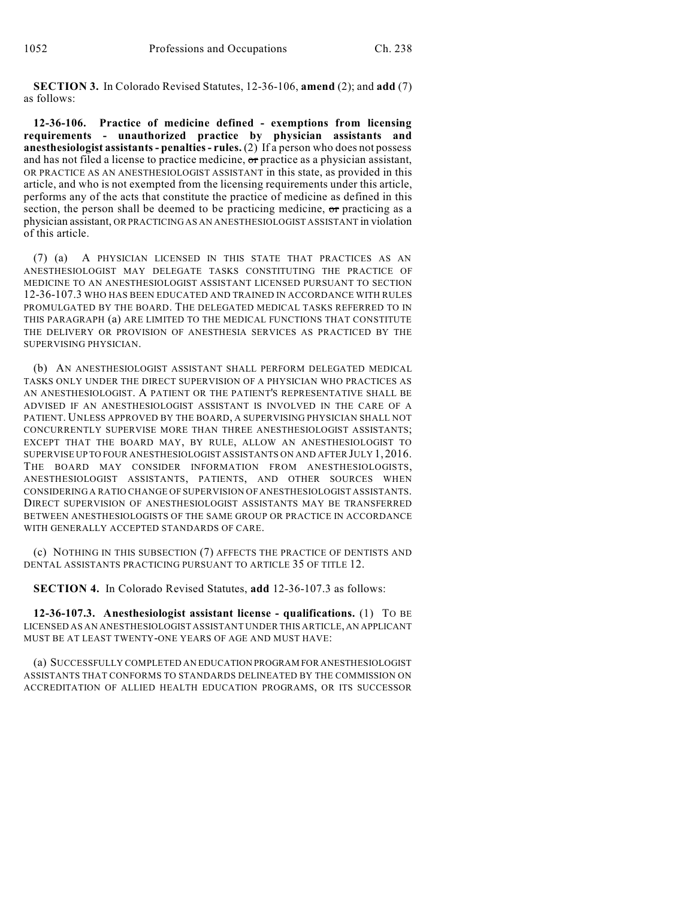**SECTION 3.** In Colorado Revised Statutes, 12-36-106, **amend** (2); and **add** (7) as follows:

**12-36-106. Practice of medicine defined - exemptions from licensing requirements - unauthorized practice by physician assistants and anesthesiologist assistants- penalties- rules.** (2) If a person who does not possess and has not filed a license to practice medicine, or practice as a physician assistant, OR PRACTICE AS AN ANESTHESIOLOGIST ASSISTANT in this state, as provided in this article, and who is not exempted from the licensing requirements under this article, performs any of the acts that constitute the practice of medicine as defined in this section, the person shall be deemed to be practicing medicine, or practicing as a physician assistant, OR PRACTICING AS AN ANESTHESIOLOGIST ASSISTANT in violation of this article.

(7) (a) A PHYSICIAN LICENSED IN THIS STATE THAT PRACTICES AS AN ANESTHESIOLOGIST MAY DELEGATE TASKS CONSTITUTING THE PRACTICE OF MEDICINE TO AN ANESTHESIOLOGIST ASSISTANT LICENSED PURSUANT TO SECTION 12-36-107.3 WHO HAS BEEN EDUCATED AND TRAINED IN ACCORDANCE WITH RULES PROMULGATED BY THE BOARD. THE DELEGATED MEDICAL TASKS REFERRED TO IN THIS PARAGRAPH (a) ARE LIMITED TO THE MEDICAL FUNCTIONS THAT CONSTITUTE THE DELIVERY OR PROVISION OF ANESTHESIA SERVICES AS PRACTICED BY THE SUPERVISING PHYSICIAN.

(b) AN ANESTHESIOLOGIST ASSISTANT SHALL PERFORM DELEGATED MEDICAL TASKS ONLY UNDER THE DIRECT SUPERVISION OF A PHYSICIAN WHO PRACTICES AS AN ANESTHESIOLOGIST. A PATIENT OR THE PATIENT'S REPRESENTATIVE SHALL BE ADVISED IF AN ANESTHESIOLOGIST ASSISTANT IS INVOLVED IN THE CARE OF A PATIENT. UNLESS APPROVED BY THE BOARD, A SUPERVISING PHYSICIAN SHALL NOT CONCURRENTLY SUPERVISE MORE THAN THREE ANESTHESIOLOGIST ASSISTANTS; EXCEPT THAT THE BOARD MAY, BY RULE, ALLOW AN ANESTHESIOLOGIST TO SUPERVISE UP TO FOUR ANESTHESIOLOGIST ASSISTANTS ON AND AFTER JULY 1, 2016. THE BOARD MAY CONSIDER INFORMATION FROM ANESTHESIOLOGISTS, ANESTHESIOLOGIST ASSISTANTS, PATIENTS, AND OTHER SOURCES WHEN CONSIDERING A RATIO CHANGE OF SUPERVISION OF ANESTHESIOLOGIST ASSISTANTS. DIRECT SUPERVISION OF ANESTHESIOLOGIST ASSISTANTS MAY BE TRANSFERRED BETWEEN ANESTHESIOLOGISTS OF THE SAME GROUP OR PRACTICE IN ACCORDANCE WITH GENERALLY ACCEPTED STANDARDS OF CARE.

(c) NOTHING IN THIS SUBSECTION (7) AFFECTS THE PRACTICE OF DENTISTS AND DENTAL ASSISTANTS PRACTICING PURSUANT TO ARTICLE 35 OF TITLE 12.

**SECTION 4.** In Colorado Revised Statutes, **add** 12-36-107.3 as follows:

**12-36-107.3. Anesthesiologist assistant license - qualifications.** (1) TO BE LICENSED AS AN ANESTHESIOLOGIST ASSISTANT UNDER THIS ARTICLE, AN APPLICANT MUST BE AT LEAST TWENTY-ONE YEARS OF AGE AND MUST HAVE:

(a) SUCCESSFULLY COMPLETED AN EDUCATION PROGRAM FOR ANESTHESIOLOGIST ASSISTANTS THAT CONFORMS TO STANDARDS DELINEATED BY THE COMMISSION ON ACCREDITATION OF ALLIED HEALTH EDUCATION PROGRAMS, OR ITS SUCCESSOR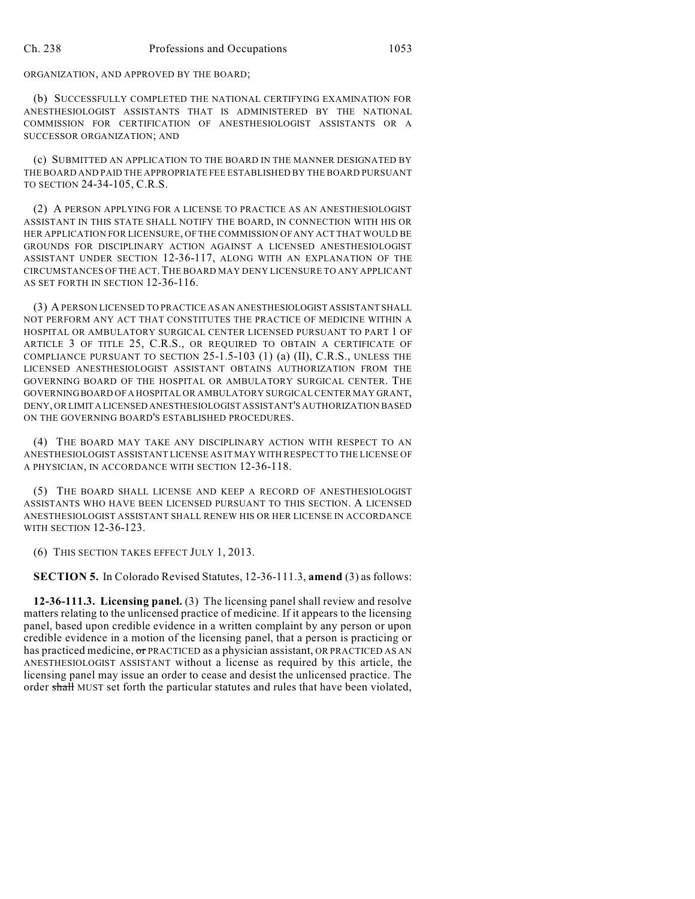ORGANIZATION, AND APPROVED BY THE BOARD;

(b) SUCCESSFULLY COMPLETED THE NATIONAL CERTIFYING EXAMINATION FOR ANESTHESIOLOGIST ASSISTANTS THAT IS ADMINISTERED BY THE NATIONAL COMMISSION FOR CERTIFICATION OF ANESTHESIOLOGIST ASSISTANTS OR A SUCCESSOR ORGANIZATION; AND

(c) SUBMITTED AN APPLICATION TO THE BOARD IN THE MANNER DESIGNATED BY THE BOARD AND PAID THE APPROPRIATE FEE ESTABLISHED BY THE BOARD PURSUANT TO SECTION 24-34-105, C.R.S.

(2) A PERSON APPLYING FOR A LICENSE TO PRACTICE AS AN ANESTHESIOLOGIST ASSISTANT IN THIS STATE SHALL NOTIFY THE BOARD, IN CONNECTION WITH HIS OR HER APPLICATION FOR LICENSURE, OF THE COMMISSION OF ANY ACT THAT WOULD BE GROUNDS FOR DISCIPLINARY ACTION AGAINST A LICENSED ANESTHESIOLOGIST ASSISTANT UNDER SECTION 12-36-117, ALONG WITH AN EXPLANATION OF THE CIRCUMSTANCES OF THE ACT.THE BOARD MAY DENY LICENSURE TO ANY APPLICANT AS SET FORTH IN SECTION 12-36-116.

(3) A PERSON LICENSED TO PRACTICE AS AN ANESTHESIOLOGIST ASSISTANT SHALL NOT PERFORM ANY ACT THAT CONSTITUTES THE PRACTICE OF MEDICINE WITHIN A HOSPITAL OR AMBULATORY SURGICAL CENTER LICENSED PURSUANT TO PART 1 OF ARTICLE 3 OF TITLE 25, C.R.S., OR REQUIRED TO OBTAIN A CERTIFICATE OF COMPLIANCE PURSUANT TO SECTION 25-1.5-103 (1) (a) (II), C.R.S., UNLESS THE LICENSED ANESTHESIOLOGIST ASSISTANT OBTAINS AUTHORIZATION FROM THE GOVERNING BOARD OF THE HOSPITAL OR AMBULATORY SURGICAL CENTER. THE GOVERNINGBOARD OFA HOSPITAL OR AMBULATORY SURGICAL CENTER MAY GRANT, DENY, OR LIMIT A LICENSED ANESTHESIOLOGIST ASSISTANT'S AUTHORIZATION BASED ON THE GOVERNING BOARD'S ESTABLISHED PROCEDURES.

(4) THE BOARD MAY TAKE ANY DISCIPLINARY ACTION WITH RESPECT TO AN ANESTHESIOLOGIST ASSISTANT LICENSE AS IT MAY WITH RESPECT TO THE LICENSE OF A PHYSICIAN, IN ACCORDANCE WITH SECTION 12-36-118.

(5) THE BOARD SHALL LICENSE AND KEEP A RECORD OF ANESTHESIOLOGIST ASSISTANTS WHO HAVE BEEN LICENSED PURSUANT TO THIS SECTION. A LICENSED ANESTHESIOLOGIST ASSISTANT SHALL RENEW HIS OR HER LICENSE IN ACCORDANCE WITH SECTION 12-36-123.

(6) THIS SECTION TAKES EFFECT JULY 1, 2013.

**SECTION 5.** In Colorado Revised Statutes, 12-36-111.3, **amend** (3) as follows:

**12-36-111.3. Licensing panel.** (3) The licensing panel shall review and resolve matters relating to the unlicensed practice of medicine. If it appears to the licensing panel, based upon credible evidence in a written complaint by any person or upon credible evidence in a motion of the licensing panel, that a person is practicing or has practiced medicine, or PRACTICED as a physician assistant, OR PRACTICED AS AN ANESTHESIOLOGIST ASSISTANT without a license as required by this article, the licensing panel may issue an order to cease and desist the unlicensed practice. The order shall MUST set forth the particular statutes and rules that have been violated,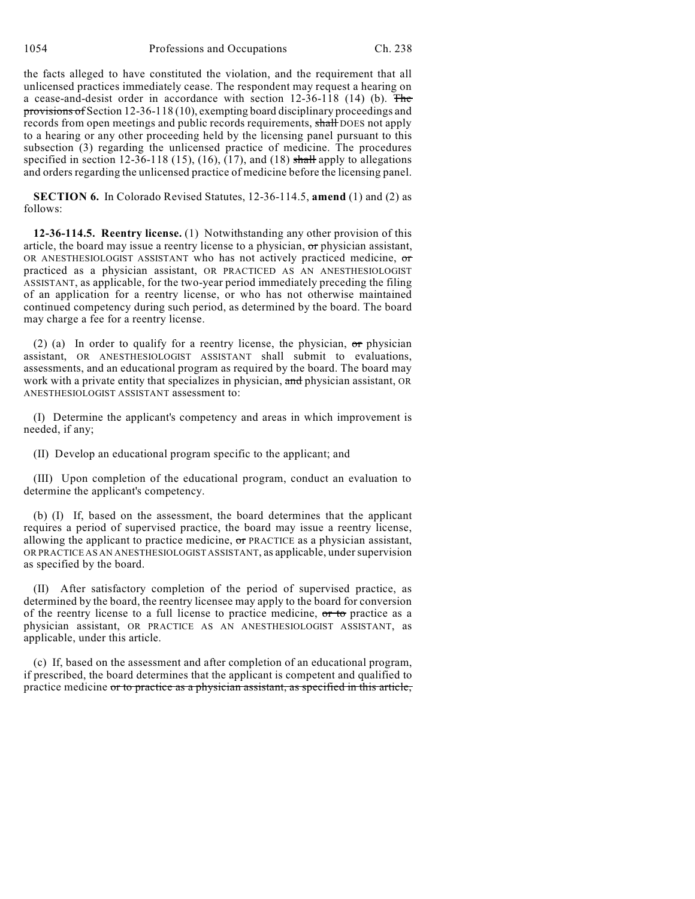the facts alleged to have constituted the violation, and the requirement that all unlicensed practices immediately cease. The respondent may request a hearing on a cease-and-desist order in accordance with section  $12-36-118$  (14) (b). The provisions of Section 12-36-118 (10), exempting board disciplinary proceedings and records from open meetings and public records requirements, shall DOES not apply to a hearing or any other proceeding held by the licensing panel pursuant to this subsection (3) regarding the unlicensed practice of medicine. The procedures specified in section 12-36-118 (15), (16), (17), and (18) shall apply to allegations and orders regarding the unlicensed practice of medicine before the licensing panel.

**SECTION 6.** In Colorado Revised Statutes, 12-36-114.5, **amend** (1) and (2) as follows:

**12-36-114.5. Reentry license.** (1) Notwithstanding any other provision of this article, the board may issue a reentry license to a physician, or physician assistant, OR ANESTHESIOLOGIST ASSISTANT who has not actively practiced medicine, or practiced as a physician assistant, OR PRACTICED AS AN ANESTHESIOLOGIST ASSISTANT, as applicable, for the two-year period immediately preceding the filing of an application for a reentry license, or who has not otherwise maintained continued competency during such period, as determined by the board. The board may charge a fee for a reentry license.

(2) (a) In order to qualify for a reentry license, the physician,  $\sigma$ r physician assistant, OR ANESTHESIOLOGIST ASSISTANT shall submit to evaluations, assessments, and an educational program as required by the board. The board may work with a private entity that specializes in physician, and physician assistant, OR ANESTHESIOLOGIST ASSISTANT assessment to:

(I) Determine the applicant's competency and areas in which improvement is needed, if any;

(II) Develop an educational program specific to the applicant; and

(III) Upon completion of the educational program, conduct an evaluation to determine the applicant's competency.

(b) (I) If, based on the assessment, the board determines that the applicant requires a period of supervised practice, the board may issue a reentry license, allowing the applicant to practice medicine,  $\sigma$  PRACTICE as a physician assistant, OR PRACTICE AS AN ANESTHESIOLOGIST ASSISTANT, as applicable, under supervision as specified by the board.

(II) After satisfactory completion of the period of supervised practice, as determined by the board, the reentry licensee may apply to the board for conversion of the reentry license to a full license to practice medicine, or to practice as a physician assistant, OR PRACTICE AS AN ANESTHESIOLOGIST ASSISTANT, as applicable, under this article.

(c) If, based on the assessment and after completion of an educational program, if prescribed, the board determines that the applicant is competent and qualified to practice medicine or to practice as a physician assistant, as specified in this article,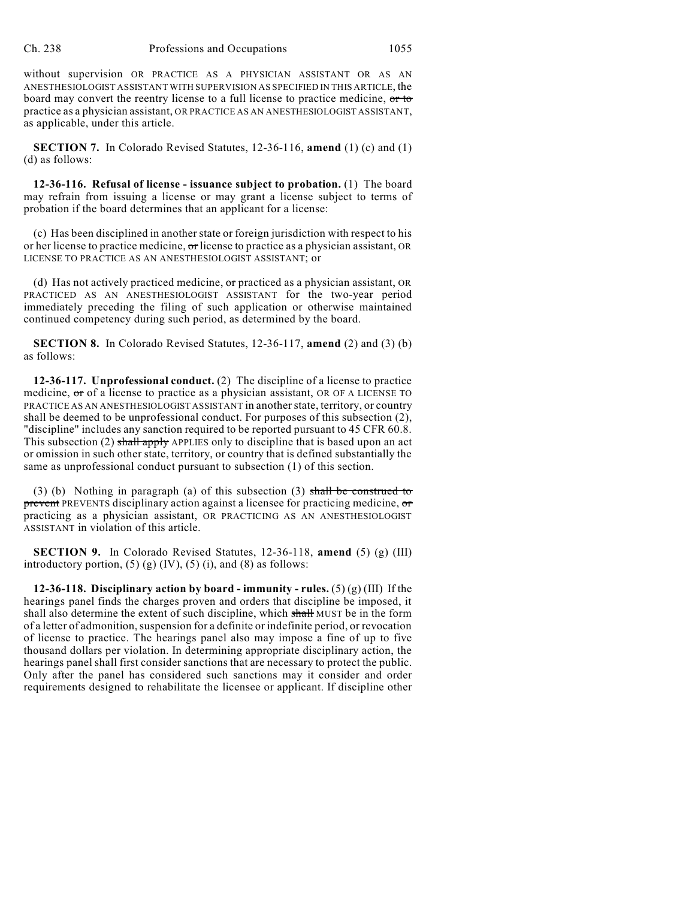without supervision OR PRACTICE AS A PHYSICIAN ASSISTANT OR AS AN ANESTHESIOLOGIST ASSISTANT WITH SUPERVISION AS SPECIFIED IN THIS ARTICLE, the board may convert the reentry license to a full license to practice medicine, or to practice as a physician assistant, OR PRACTICE AS AN ANESTHESIOLOGIST ASSISTANT, as applicable, under this article.

**SECTION 7.** In Colorado Revised Statutes, 12-36-116, **amend** (1) (c) and (1) (d) as follows:

**12-36-116. Refusal of license - issuance subject to probation.** (1) The board may refrain from issuing a license or may grant a license subject to terms of probation if the board determines that an applicant for a license:

(c) Has been disciplined in another state or foreign jurisdiction with respect to his or her license to practice medicine, or license to practice as a physician assistant, OR LICENSE TO PRACTICE AS AN ANESTHESIOLOGIST ASSISTANT; or

(d) Has not actively practiced medicine,  $\sigma$ r practiced as a physician assistant, OR PRACTICED AS AN ANESTHESIOLOGIST ASSISTANT for the two-year period immediately preceding the filing of such application or otherwise maintained continued competency during such period, as determined by the board.

**SECTION 8.** In Colorado Revised Statutes, 12-36-117, **amend** (2) and (3) (b) as follows:

**12-36-117. Unprofessional conduct.** (2) The discipline of a license to practice medicine, or of a license to practice as a physician assistant, OR OF A LICENSE TO PRACTICE AS AN ANESTHESIOLOGIST ASSISTANT in anotherstate, territory, or country shall be deemed to be unprofessional conduct. For purposes of this subsection (2), "discipline" includes any sanction required to be reported pursuant to 45 CFR 60.8. This subsection (2) shall apply APPLIES only to discipline that is based upon an act or omission in such other state, territory, or country that is defined substantially the same as unprofessional conduct pursuant to subsection (1) of this section.

(3) (b) Nothing in paragraph (a) of this subsection (3) shall be construed to prevent PREVENTS disciplinary action against a licensee for practicing medicine, or practicing as a physician assistant, OR PRACTICING AS AN ANESTHESIOLOGIST ASSISTANT in violation of this article.

**SECTION 9.** In Colorado Revised Statutes, 12-36-118, **amend** (5) (g) (III) introductory portion,  $(5)$   $(g)$   $(IV)$ ,  $(5)$   $(i)$ , and  $(8)$  as follows:

**12-36-118. Disciplinary action by board - immunity - rules.** (5) (g) (III) If the hearings panel finds the charges proven and orders that discipline be imposed, it shall also determine the extent of such discipline, which shall MUST be in the form of a letter of admonition,suspension for a definite or indefinite period, or revocation of license to practice. The hearings panel also may impose a fine of up to five thousand dollars per violation. In determining appropriate disciplinary action, the hearings panel shall first consider sanctions that are necessary to protect the public. Only after the panel has considered such sanctions may it consider and order requirements designed to rehabilitate the licensee or applicant. If discipline other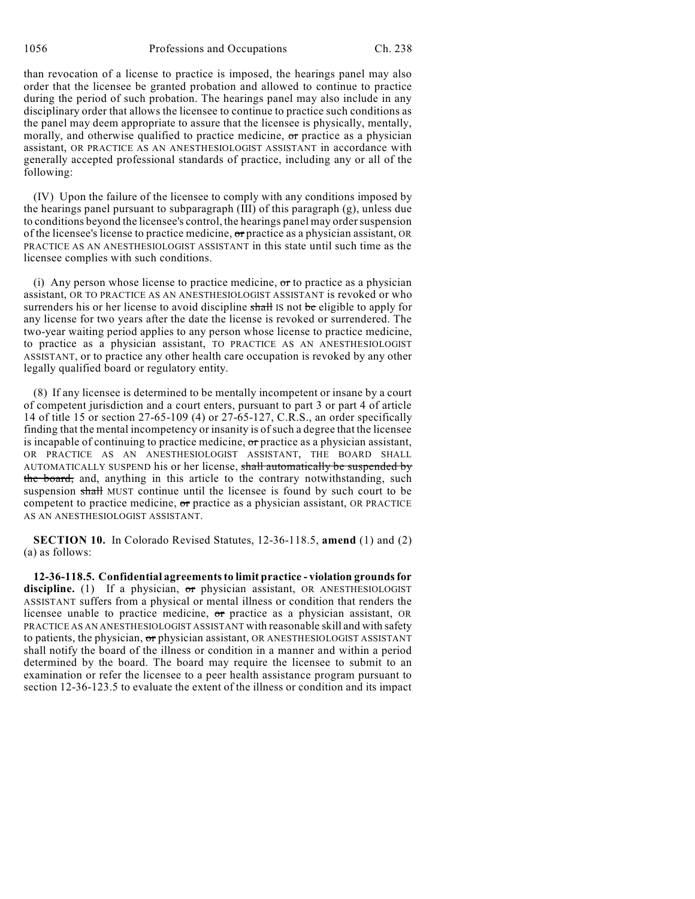1056 Professions and Occupations Ch. 238

than revocation of a license to practice is imposed, the hearings panel may also order that the licensee be granted probation and allowed to continue to practice during the period of such probation. The hearings panel may also include in any disciplinary order that allows the licensee to continue to practice such conditions as the panel may deem appropriate to assure that the licensee is physically, mentally, morally, and otherwise qualified to practice medicine,  $\sigma$ r practice as a physician assistant, OR PRACTICE AS AN ANESTHESIOLOGIST ASSISTANT in accordance with generally accepted professional standards of practice, including any or all of the following:

(IV) Upon the failure of the licensee to comply with any conditions imposed by the hearings panel pursuant to subparagraph  $(III)$  of this paragraph  $(g)$ , unless due to conditions beyond the licensee's control, the hearings panel may ordersuspension of the licensee's license to practice medicine, or practice as a physician assistant, OR PRACTICE AS AN ANESTHESIOLOGIST ASSISTANT in this state until such time as the licensee complies with such conditions.

(i) Any person whose license to practice medicine,  $\sigma$  to practice as a physician assistant, OR TO PRACTICE AS AN ANESTHESIOLOGIST ASSISTANT is revoked or who surrenders his or her license to avoid discipline shall IS not be eligible to apply for any license for two years after the date the license is revoked or surrendered. The two-year waiting period applies to any person whose license to practice medicine, to practice as a physician assistant, TO PRACTICE AS AN ANESTHESIOLOGIST ASSISTANT, or to practice any other health care occupation is revoked by any other legally qualified board or regulatory entity.

(8) If any licensee is determined to be mentally incompetent or insane by a court of competent jurisdiction and a court enters, pursuant to part 3 or part 4 of article 14 of title 15 or section 27-65-109 (4) or 27-65-127, C.R.S., an order specifically finding that the mental incompetency or insanity is of such a degree that the licensee is incapable of continuing to practice medicine, or practice as a physician assistant, OR PRACTICE AS AN ANESTHESIOLOGIST ASSISTANT, THE BOARD SHALL AUTOMATICALLY SUSPEND his or her license, shall automatically be suspended by the board, and, anything in this article to the contrary notwithstanding, such suspension shall MUST continue until the licensee is found by such court to be competent to practice medicine,  $\sigma$ r practice as a physician assistant, OR PRACTICE AS AN ANESTHESIOLOGIST ASSISTANT.

**SECTION 10.** In Colorado Revised Statutes, 12-36-118.5, **amend** (1) and (2) (a) as follows:

**12-36-118.5. Confidential agreementsto limit practice - violation grounds for** discipline. (1) If a physician, or physician assistant, OR ANESTHESIOLOGIST ASSISTANT suffers from a physical or mental illness or condition that renders the licensee unable to practice medicine, or practice as a physician assistant, OR PRACTICE AS AN ANESTHESIOLOGIST ASSISTANT with reasonable skill and with safety to patients, the physician, or physician assistant, OR ANESTHESIOLOGIST ASSISTANT shall notify the board of the illness or condition in a manner and within a period determined by the board. The board may require the licensee to submit to an examination or refer the licensee to a peer health assistance program pursuant to section 12-36-123.5 to evaluate the extent of the illness or condition and its impact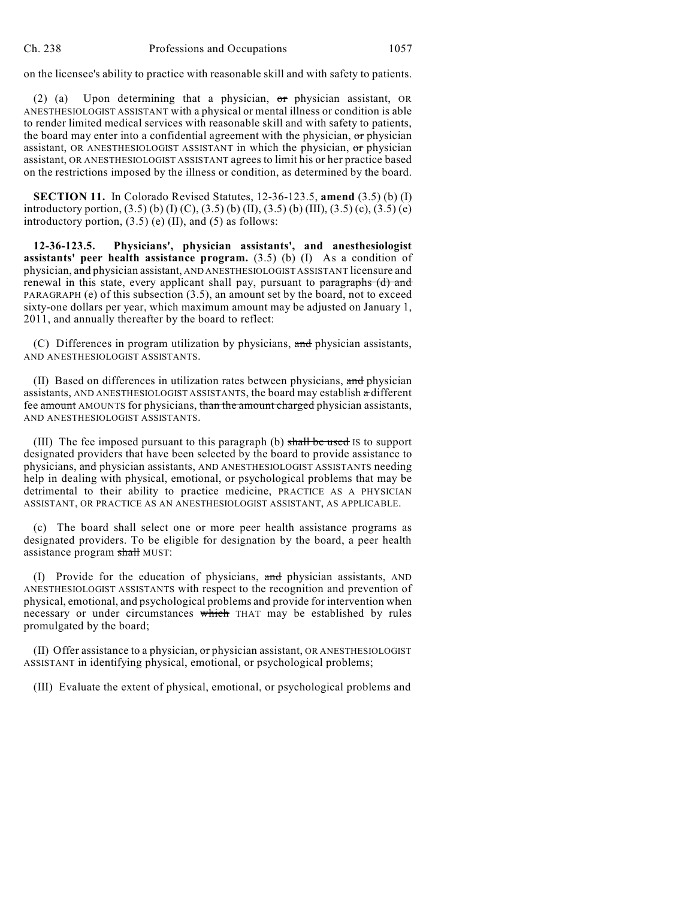on the licensee's ability to practice with reasonable skill and with safety to patients.

(2) (a) Upon determining that a physician, or physician assistant, OR ANESTHESIOLOGIST ASSISTANT with a physical or mental illness or condition is able to render limited medical services with reasonable skill and with safety to patients, the board may enter into a confidential agreement with the physician, or physician assistant, OR ANESTHESIOLOGIST ASSISTANT in which the physician, or physician assistant, OR ANESTHESIOLOGIST ASSISTANT agrees to limit his or her practice based on the restrictions imposed by the illness or condition, as determined by the board.

**SECTION 11.** In Colorado Revised Statutes, 12-36-123.5, **amend** (3.5) (b) (I) introductory portion,  $(3.5)$  (b)  $(I)$  (C),  $(3.5)$  (b)  $(II)$ ,  $(3.5)$  (b)  $(III)$ ,  $(3.5)$  (c),  $(3.5)$  (e) introductory portion,  $(3.5)$  (e) (II), and (5) as follows:

**12-36-123.5. Physicians', physician assistants', and anesthesiologist assistants' peer health assistance program.** (3.5) (b) (I) As a condition of physician, and physician assistant, AND ANESTHESIOLOGIST ASSISTANT licensure and renewal in this state, every applicant shall pay, pursuant to paragraphs (d) and PARAGRAPH (e) of this subsection (3.5), an amount set by the board, not to exceed sixty-one dollars per year, which maximum amount may be adjusted on January 1, 2011, and annually thereafter by the board to reflect:

(C) Differences in program utilization by physicians, and physician assistants, AND ANESTHESIOLOGIST ASSISTANTS.

(II) Based on differences in utilization rates between physicians, and physician assistants, AND ANESTHESIOLOGIST ASSISTANTS, the board may establish a different fee amount AMOUNTS for physicians, than the amount charged physician assistants, AND ANESTHESIOLOGIST ASSISTANTS.

(III) The fee imposed pursuant to this paragraph (b) shall be used IS to support designated providers that have been selected by the board to provide assistance to physicians, and physician assistants, AND ANESTHESIOLOGIST ASSISTANTS needing help in dealing with physical, emotional, or psychological problems that may be detrimental to their ability to practice medicine, PRACTICE AS A PHYSICIAN ASSISTANT, OR PRACTICE AS AN ANESTHESIOLOGIST ASSISTANT, AS APPLICABLE.

(c) The board shall select one or more peer health assistance programs as designated providers. To be eligible for designation by the board, a peer health assistance program shall MUST:

(I) Provide for the education of physicians, and physician assistants, AND ANESTHESIOLOGIST ASSISTANTS with respect to the recognition and prevention of physical, emotional, and psychological problems and provide for intervention when necessary or under circumstances which THAT may be established by rules promulgated by the board;

(II) Offer assistance to a physician,  $\sigma r$  physician assistant, OR ANESTHESIOLOGIST ASSISTANT in identifying physical, emotional, or psychological problems;

(III) Evaluate the extent of physical, emotional, or psychological problems and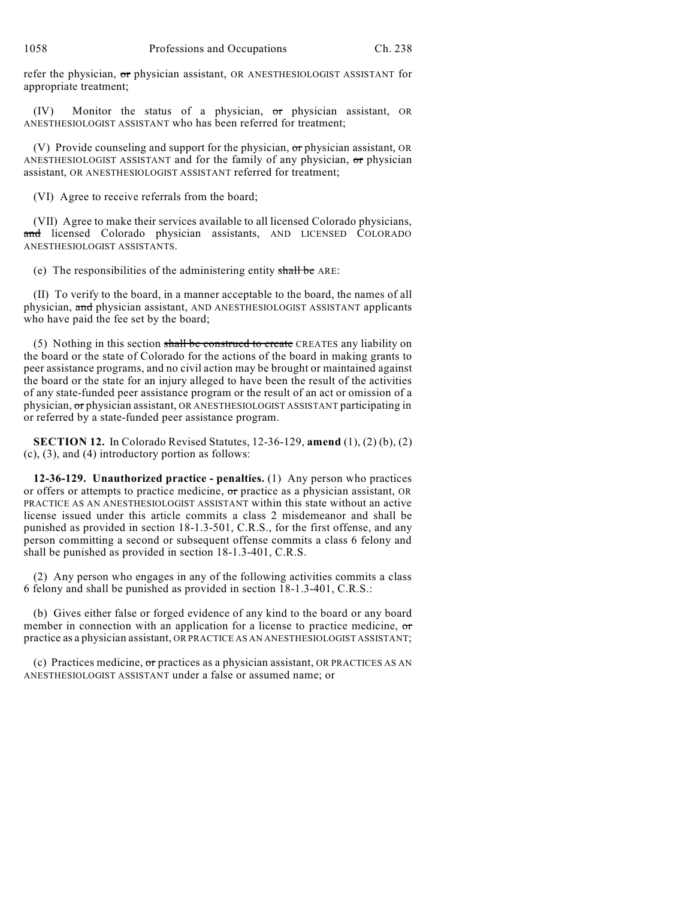refer the physician, or physician assistant, OR ANESTHESIOLOGIST ASSISTANT for appropriate treatment;

(IV) Monitor the status of a physician, or physician assistant, OR ANESTHESIOLOGIST ASSISTANT who has been referred for treatment;

(V) Provide counseling and support for the physician,  $\sigma r$  physician assistant, OR ANESTHESIOLOGIST ASSISTANT and for the family of any physician,  $\sigma$ r physician assistant, OR ANESTHESIOLOGIST ASSISTANT referred for treatment;

(VI) Agree to receive referrals from the board;

(VII) Agree to make their services available to all licensed Colorado physicians, and licensed Colorado physician assistants, AND LICENSED COLORADO ANESTHESIOLOGIST ASSISTANTS.

(e) The responsibilities of the administering entity shall be ARE:

(II) To verify to the board, in a manner acceptable to the board, the names of all physician, and physician assistant, AND ANESTHESIOLOGIST ASSISTANT applicants who have paid the fee set by the board;

(5) Nothing in this section shall be construed to create CREATES any liability on the board or the state of Colorado for the actions of the board in making grants to peer assistance programs, and no civil action may be brought or maintained against the board or the state for an injury alleged to have been the result of the activities of any state-funded peer assistance program or the result of an act or omission of a physician, or physician assistant, OR ANESTHESIOLOGIST ASSISTANT participating in or referred by a state-funded peer assistance program.

**SECTION 12.** In Colorado Revised Statutes, 12-36-129, **amend** (1), (2) (b), (2) (c), (3), and (4) introductory portion as follows:

**12-36-129. Unauthorized practice - penalties.** (1) Any person who practices or offers or attempts to practice medicine, or practice as a physician assistant, OR PRACTICE AS AN ANESTHESIOLOGIST ASSISTANT within this state without an active license issued under this article commits a class 2 misdemeanor and shall be punished as provided in section 18-1.3-501, C.R.S., for the first offense, and any person committing a second or subsequent offense commits a class 6 felony and shall be punished as provided in section 18-1.3-401, C.R.S.

(2) Any person who engages in any of the following activities commits a class 6 felony and shall be punished as provided in section 18-1.3-401, C.R.S.:

(b) Gives either false or forged evidence of any kind to the board or any board member in connection with an application for a license to practice medicine, or practice as a physician assistant, OR PRACTICE AS AN ANESTHESIOLOGIST ASSISTANT;

(c) Practices medicine, or practices as a physician assistant, OR PRACTICES AS AN ANESTHESIOLOGIST ASSISTANT under a false or assumed name; or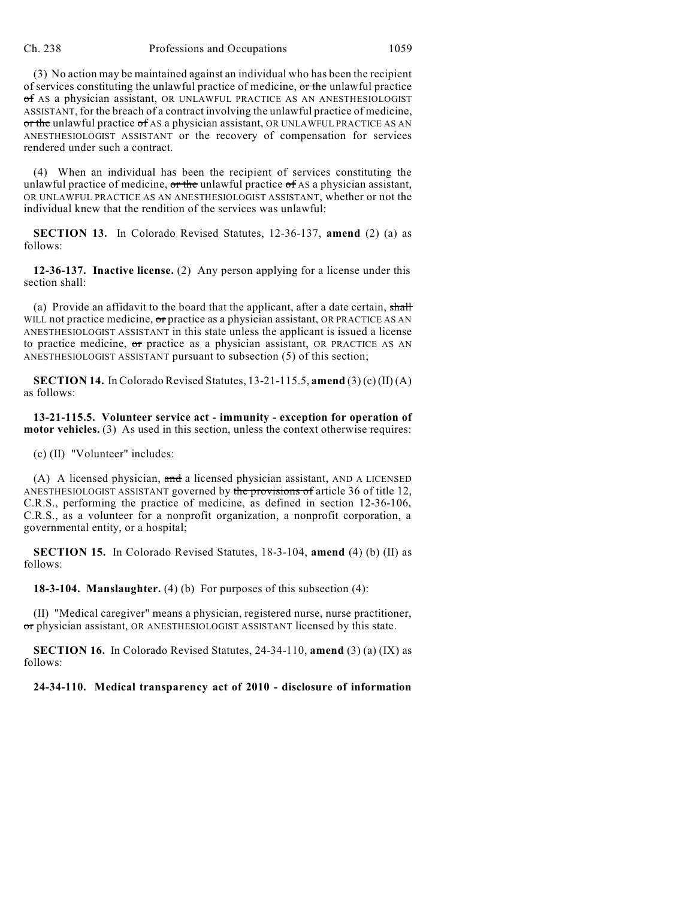## Ch. 238 Professions and Occupations 1059

(3) No action may be maintained against an individual who has been the recipient of services constituting the unlawful practice of medicine, or the unlawful practice of AS a physician assistant, OR UNLAWFUL PRACTICE AS AN ANESTHESIOLOGIST ASSISTANT, for the breach of a contract involving the unlawful practice of medicine, or the unlawful practice of AS a physician assistant, OR UNLAWFUL PRACTICE AS AN ANESTHESIOLOGIST ASSISTANT or the recovery of compensation for services rendered under such a contract.

(4) When an individual has been the recipient of services constituting the unlawful practice of medicine,  $\sigma r$  the unlawful practice  $\sigma f$  AS a physician assistant, OR UNLAWFUL PRACTICE AS AN ANESTHESIOLOGIST ASSISTANT, whether or not the individual knew that the rendition of the services was unlawful:

**SECTION 13.** In Colorado Revised Statutes, 12-36-137, **amend** (2) (a) as follows:

**12-36-137. Inactive license.** (2) Any person applying for a license under this section shall:

(a) Provide an affidavit to the board that the applicant, after a date certain, shall WILL not practice medicine, or practice as a physician assistant, OR PRACTICE AS AN ANESTHESIOLOGIST ASSISTANT in this state unless the applicant is issued a license to practice medicine, or practice as a physician assistant, OR PRACTICE AS AN ANESTHESIOLOGIST ASSISTANT pursuant to subsection (5) of this section;

**SECTION 14.** In Colorado Revised Statutes, 13-21-115.5, **amend** (3) (c) (II) (A) as follows:

**13-21-115.5. Volunteer service act - immunity - exception for operation of motor vehicles.** (3) As used in this section, unless the context otherwise requires:

(c) (II) "Volunteer" includes:

(A) A licensed physician, and a licensed physician assistant, AND A LICENSED ANESTHESIOLOGIST ASSISTANT governed by the provisions of article 36 of title 12, C.R.S., performing the practice of medicine, as defined in section 12-36-106, C.R.S., as a volunteer for a nonprofit organization, a nonprofit corporation, a governmental entity, or a hospital;

**SECTION 15.** In Colorado Revised Statutes, 18-3-104, **amend** (4) (b) (II) as follows:

**18-3-104. Manslaughter.** (4) (b) For purposes of this subsection (4):

(II) "Medical caregiver" means a physician, registered nurse, nurse practitioner, or physician assistant, OR ANESTHESIOLOGIST ASSISTANT licensed by this state.

**SECTION 16.** In Colorado Revised Statutes, 24-34-110, **amend** (3) (a) (IX) as follows:

**24-34-110. Medical transparency act of 2010 - disclosure of information**